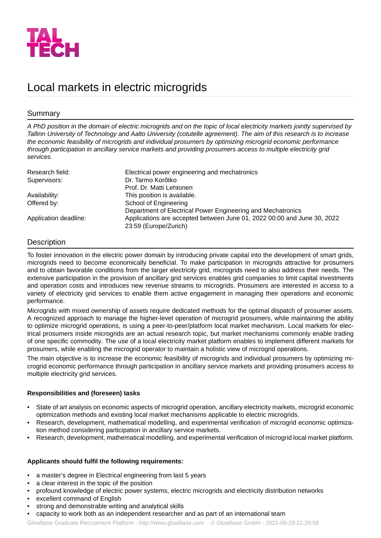

# Local markets in electric microgrids

## Summary

*A PhD position in the domain of electric microgrids and on the topic of local electricity markets jointly supervised by* Tallinn University of Technology and Aalto University (cotutelle agreement). The aim of this research is to increase *the economic feasibility of microgrids and individual prosumers by optimizing microgrid economic performance through participation in ancillary service markets and providing prosumers access to multiple electricity grid services.*

| Research field:       | Electrical power engineering and mechatronics                                                    |
|-----------------------|--------------------------------------------------------------------------------------------------|
| Supervisors:          | Dr. Tarmo Korõtko                                                                                |
|                       | Prof. Dr. Matti Lehtonen                                                                         |
| Availability:         | This position is available.                                                                      |
| Offered by:           | School of Engineering                                                                            |
|                       | Department of Electrical Power Engineering and Mechatronics                                      |
| Application deadline: | Applications are accepted between June 01, 2022 00:00 and June 30, 2022<br>23:59 (Europe/Zurich) |

## **Description**

To foster innovation in the electric power domain by introducing private capital into the development of smart grids, microgrids need to become economically beneficial. To make participation in microgrids attractive for prosumers and to obtain favorable conditions from the larger electricity grid, microgrids need to also address their needs. The extensive participation in the provision of ancillary grid services enables grid companies to limit capital investments and operation costs and introduces new revenue streams to microgrids. Prosumers are interested in access to a variety of electricity grid services to enable them active engagement in managing their operations and economic performance.

Microgrids with mixed ownership of assets require dedicated methods for the optimal dispatch of prosumer assets. A recognized approach to manage the higher-level operation of microgrid prosumers, while maintaining the ability to optimize microgrid operations, is using a peer-to-peer/platform local market mechanism. Local markets for electrical prosumers inside microgrids are an actual research topic, but market mechanisms commonly enable trading of one specific commodity. The use of a local electricity market platform enables to implement different markets for prosumers, while enabling the microgrid operator to maintain a holistic view of microgrid operations.

The main objective is to increase the economic feasibility of microgrids and individual prosumers by optimizing microgrid economic performance through participation in ancillary service markets and providing prosumers access to multiple electricity grid services.

### **Responsibilities and (foreseen) tasks**

- State of art analysis on economic aspects of microgrid operation, ancillary electricity markets, microgrid economic optimization methods and existing local market mechanisms applicable to electric microgrids.
- Research, development, mathematical modelling, and experimental verification of microgrid economic optimization method considering participation in ancillary service markets.
- Research, development, mathematical modelling, and experimental verification of microgrid local market platform.

### **Applicants should fulfil the following requirements:**

- a master's degree in Electrical engineering from last 5 years
- a clear interest in the topic of the position
- profound knowledge of electric power systems, electric microgrids and electricity distribution networks
- excellent command of English
- strong and demonstrable writing and analytical skills
- capacity to work both as an independent researcher and as part of an international team

Glowbase Graduate Recruitment Platform -<http://www.glowbase.com> - © Glowbase GmbH - 2022-06-29 21:26:58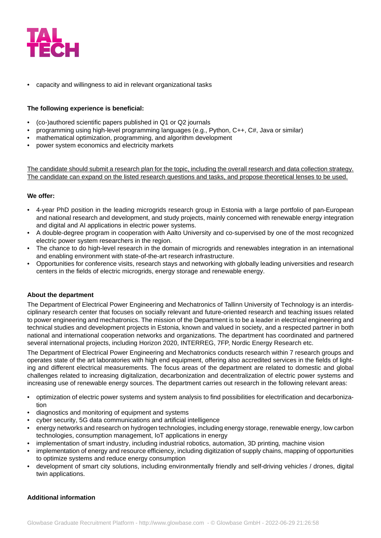

• capacity and willingness to aid in relevant organizational tasks

#### **The following experience is beneficial:**

- (co-)authored scientific papers published in Q1 or Q2 journals
- programming using high-level programming languages (e.g., Python, C++, C#, Java or similar)
- mathematical optimization, programming, and algorithm development
- power system economics and electricity markets

The candidate should submit a research plan for the topic, including the overall research and data collection strategy. The candidate can expand on the listed research questions and tasks, and propose theoretical lenses to be used.

#### **We offer:**

- 4-year PhD position in the leading microgrids research group in Estonia with a large portfolio of pan-European and national research and development, and study projects, mainly concerned with renewable energy integration and digital and AI applications in electric power systems.
- A double-degree program in cooperation with Aalto University and co-supervised by one of the most recognized electric power system researchers in the region.
- The chance to do high-level research in the domain of microgrids and renewables integration in an international and enabling environment with state-of-the-art research infrastructure.
- Opportunities for conference visits, research stays and networking with globally leading universities and research centers in the fields of electric microgrids, energy storage and renewable energy.

### **About the department**

The Department of Electrical Power Engineering and Mechatronics of Tallinn University of Technology is an interdisciplinary research center that focuses on socially relevant and future-oriented research and teaching issues related to power engineering and mechatronics. The mission of the Department is to be a leader in electrical engineering and technical studies and development projects in Estonia, known and valued in society, and a respected partner in both national and international cooperation networks and organizations. The department has coordinated and partnered several international projects, including Horizon 2020, INTERREG, 7FP, Nordic Energy Research etc.

The Department of Electrical Power Engineering and Mechatronics conducts research within 7 research groups and operates state of the art laboratories with high end equipment, offering also accredited services in the fields of lighting and different electrical measurements. The focus areas of the department are related to domestic and global challenges related to increasing digitalization, decarbonization and decentralization of electric power systems and increasing use of renewable energy sources. The department carries out research in the following relevant areas:

- optimization of electric power systems and system analysis to find possibilities for electrification and decarbonization
- diagnostics and monitoring of equipment and systems
- cyber security, 5G data communications and artificial intelligence
- energy networks and research on hydrogen technologies, including energy storage, renewable energy, low carbon technologies, consumption management, IoT applications in energy
- implementation of smart industry, including industrial robotics, automation, 3D printing, machine vision
- implementation of energy and resource efficiency, including digitization of supply chains, mapping of opportunities to optimize systems and reduce energy consumption
- development of smart city solutions, including environmentally friendly and self-driving vehicles / drones, digital twin applications.

#### **Additional information**